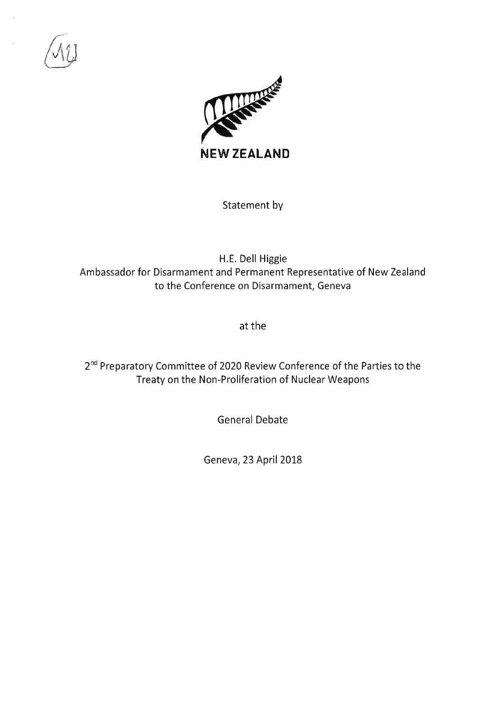



Statement by

H.E. Dell Higgie Ambassador for Disarmament and Permanent Representative of New Zealand to the Conference on Disarmament, Geneva

at the

2<sup>nd</sup> Preparatory Committee of 2020 Review Conference of the Parties to the Treaty on the Non-Proliferation of Nuclear Weapons

General Debate

Geneva, 23 April 2018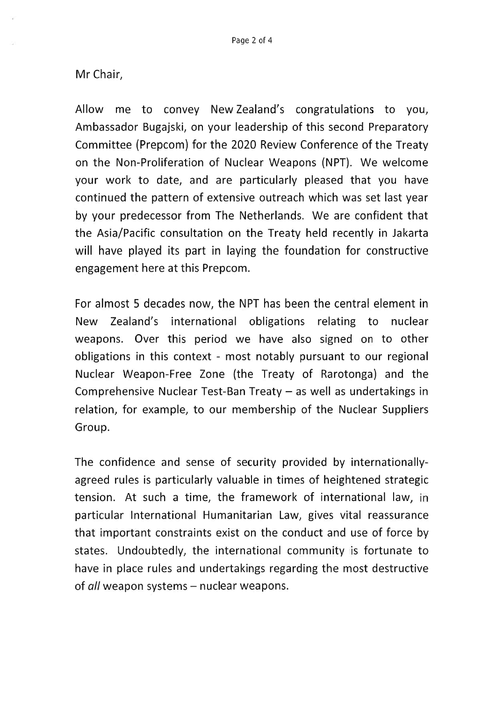## Mr Chair,

Allow me to convey NewZealand's congratulations to you, Ambassador Bugajski, on your leadership of this second Preparatory Committee (Prepcom) for the 2020 Review Conference of the Treaty on the Non-Proliferation of Nuclear Weapons (NPT). We welcome your work to date, and are particularly pleased that you have continued the pattern of extensive outreach which was set last year by your predecessor from The Netherlands. We are confident that the Asia/Pacific consultation on the Treaty held recently in Jakarta will have played its part in laying the foundation for constructive engagement here at this Prepcom.

For almost 5 decades now, the NPT has been the central element in New Zealand's international obligations relating to nuclear weapons. Over this period we have also signed on to other obligations in this context - most notably pursuant to our regional Nuclear Weapon-Free Zone (the Treaty of Rarotonga) and the Comprehensive Nuclear Test-Ban Treaty  $-$  as well as undertakings in relation, for example, to our membership of the Nuclear Suppliers Group.

The confidence and sense of security provided by internationallyagreed rules is particularly valuable in times of heightened strategic tension. At such a time, the framework of international law, in particular International Humanitarian Law, gives vital reassurance that important constraints exist on the conduct and use of force by states, Undoubtedly, the international community is fortunate to have in place rules and undertakings regarding the most destructive of all weapon systems – nuclear weapons.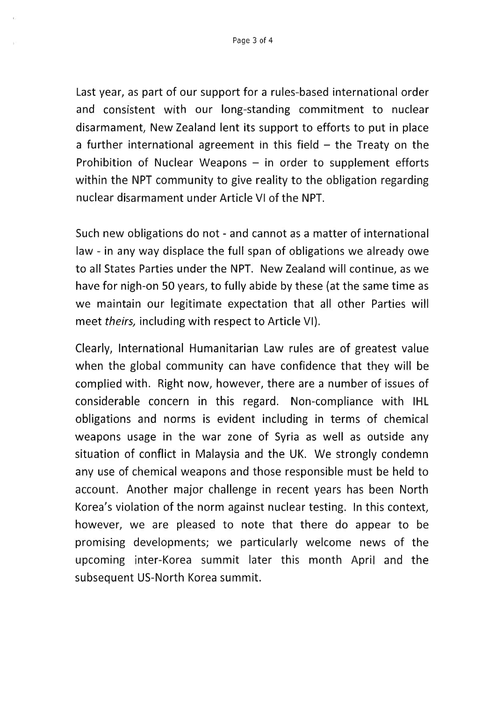Last year, as part of our support for a rules-based international order and consistent with our long-standing commitment to nuclear disarmament, New Zealand lent its support to efforts to put in place a further international agreement in this field  $-$  the Treaty on the Prohibition of Nuclear Weapons  $-$  in order to supplement efforts within the NPT community to give reality to the obligation regarding nuclear disarmament under Article Vl of the NPT.

Such new obligations do not - and cannot as a matter of international law - in any way displace the full span of obligations we already owe to all States Parties under the NPT. New Zealand will continue, as we have for nigh-on 50 years, to fully abide by these (at the same time as we maintain our legitimate expectation that all other Parties will meet theirs, including with respect to Article Vl).

Clearly, International Humanitarian Law rules are of greatest value when the global community can have confidence that they will be complied with. Right now, however, there are a number of issues of considerable concern in this regard. Non-compliance with IHL obligations and norms is evident including in terms of chemical weapons usage in the war zone of Syria as well as outside any situation of conflict in Malaysia and the UK. We strongly condemn any use of chemical weapons and those responsible must be held to account. Another major challenge in recent years has been North Korea's violation of the norm against nuclear testing. In this context, however, we are pleased to note that there do appear to be promising developments; we particularly welcome news of the upcoming inter-Korea summit later this month April and the subsequent US-North Korea summit.